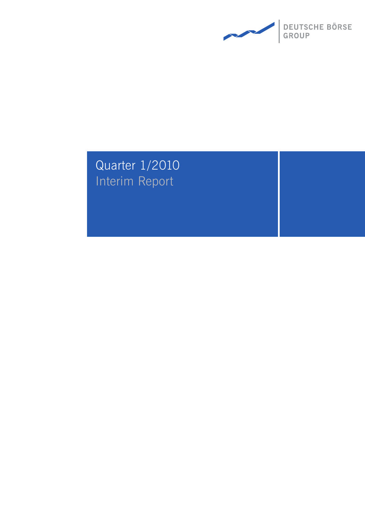

# Quarter 1/2010 Interim Report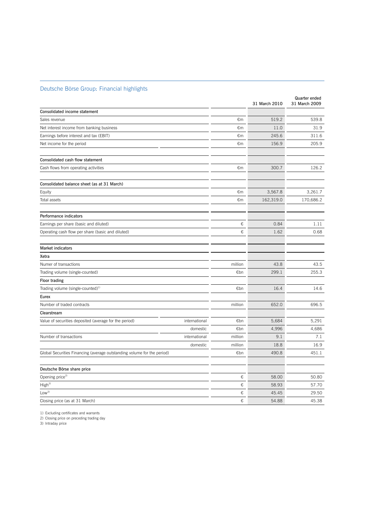## Deutsche Börse Group: Financial highlights

|                                                                         |               |         | 31 March 2010 | Quarter ended<br>31 March 2009 |
|-------------------------------------------------------------------------|---------------|---------|---------------|--------------------------------|
| Consolidated income statement                                           |               |         |               |                                |
| Sales revenue                                                           |               | €m      | 519.2         | 539.8                          |
| Net interest income from banking business                               |               | €m      | 11.0          | 31.9                           |
| Earnings before interest and tax (EBIT)                                 |               | €m      | 245.6         | 311.6                          |
| Net income for the period                                               |               | €m      | 156.9         | 205.9                          |
| Consolidated cash flow statement                                        |               |         |               |                                |
| Cash flows from operating activities                                    |               | €m      | 300.7         | 126.2                          |
| Consolidated balance sheet (as at 31 March)                             |               |         |               |                                |
| Equity                                                                  |               | €m      | 3,567.8       | 3,261.7                        |
| Total assets                                                            |               | €m      | 162,319.0     | 170,686.2                      |
| Performance indicators                                                  |               |         |               |                                |
| Earnings per share (basic and diluted)                                  |               | €       | 0.84          | 1.11                           |
| Operating cash flow per share (basic and diluted)                       |               | €       | 1.62          | 0.68                           |
| <b>Market indicators</b>                                                |               |         |               |                                |
| Xetra                                                                   |               |         |               |                                |
| Numer of transactions                                                   |               | million | 43.8          | 43.5                           |
| Trading volume (single-counted)                                         |               | €bn     | 299.1         | 255.3                          |
| <b>Floor trading</b>                                                    |               |         |               |                                |
| Trading volume (single-counted) <sup>1)</sup>                           |               | €bn     | 16.4          | 14.6                           |
| Eurex                                                                   |               |         |               |                                |
| Number of traded contracts                                              |               | million | 652.0         | 696.5                          |
| Clearstream                                                             |               |         |               |                                |
| Value of securities deposited (average for the period)                  | international | €bn     | 5,684         | 5,291                          |
|                                                                         | domestic      | €bn     | 4,996         | 4,686                          |
| Number of transactions                                                  | international | million | 9.1           | 7.1                            |
|                                                                         | domestic      | million | 18.8          | 16.9                           |
| Global Securities Financing (average outstanding volume for the period) |               | €bn     | 490.8         | 451.1                          |
| Deutsche Börse share price                                              |               |         |               |                                |
| Opening price <sup>2)</sup>                                             |               | €       | 58.00         | 50.80                          |
| High <sup>3</sup>                                                       |               | €       | 58.93         | 57.70                          |
| $\mathsf{Low}^3$                                                        |               | €       | 45.45         | 29.50                          |
| Closing price (as at 31 March)                                          |               | €       | 54.88         | 45.38                          |

 $\overline{a}$ 

1) Excluding certificates and warrants

2) Closing price on preceding trading day

3) Intraday price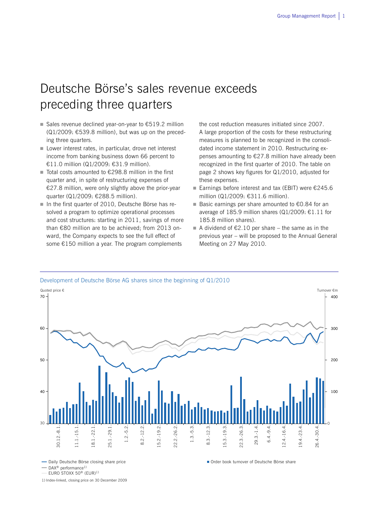# Deutsche Börse's sales revenue exceeds preceding three quarters

- Sales revenue declined vear-on-vear to  $€519.2$  million  $(Q1/2009: \text{£}539.8$  million), but was up on the preceding three quarters.
- Lower interest rates, in particular, drove net interest income from banking business down 66 percent to €11.0 million (Q1/2009: €31.9 million).
- Total costs amounted to  $€298.8$  million in the first quarter and, in spite of restructuring expenses of €27.8 million, were only slightly above the prior-year quarter (Q1/2009: €288.5 million).
- In the first quarter of 2010, Deutsche Börse has resolved a program to optimize operational processes and cost structures: starting in 2011, savings of more than €80 million are to be achieved; from 2013 onward, the Company expects to see the full effect of some €150 million a year. The program complements

the cost reduction measures initiated since 2007. A large proportion of the costs for these restructuring measures is planned to be recognized in the consolidated income statement in 2010. Restructuring expenses amounting to €27.8 million have already been recognized in the first quarter of 2010. The table on page 2 shows key figures for Q1/2010, adjusted for these expenses.

- Earnings before interest and tax (EBIT) were  $€245.6$ million (Q1/2009: €311.6 million).
- Basic earnings per share amounted to €0.84 for an average of 185.9 million shares (Q1/2009: €1.11 for 185.8 million shares).
- A dividend of  $\epsilon$ 2.10 per share the same as in the previous year – will be proposed to the Annual General Meeting on 27 May 2010.



- Daily Deutsche Börse closing share price

EURO STOXX 50® (EUR)1)

1) Index-linked, closing price on 30 December 2009

<sup>-</sup> DAX<sup>®</sup> performance<sup>1)</sup>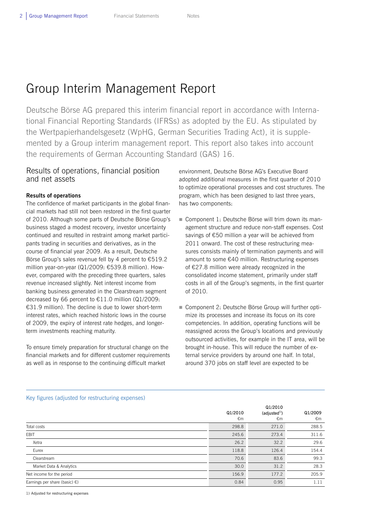# Group Interim Management Report

Deutsche Börse AG prepared this interim financial report in accordance with International Financial Reporting Standards (IFRSs) as adopted by the EU. As stipulated by the Wertpapierhandelsgesetz (WpHG, German Securities Trading Act), it is supplemented by a Group interim management report. This report also takes into account the requirements of German Accounting Standard (GAS) 16.

## Results of operations, financial position and net assets

## **Results of operations**

The confidence of market participants in the global financial markets had still not been restored in the first quarter of 2010. Although some parts of Deutsche Börse Group's business staged a modest recovery, investor uncertainty continued and resulted in restraint among market participants trading in securities and derivatives, as in the course of financial year 2009. As a result, Deutsche Börse Group's sales revenue fell by 4 percent to €519.2 million year-on-year (Q1/2009: €539.8 million). However, compared with the preceding three quarters, sales revenue increased slightly. Net interest income from banking business generated in the Clearstream segment decreased by 66 percent to  $£11.0$  million (Q1/2009: €31.9 million). The decline is due to lower short-term interest rates, which reached historic lows in the course of 2009, the expiry of interest rate hedges, and longerterm investments reaching maturity.

To ensure timely preparation for structural change on the financial markets and for different customer requirements as well as in response to the continuing difficult market

environment, Deutsche Börse AG's Executive Board adopted additional measures in the first quarter of 2010 to optimize operational processes and cost structures. The program, which has been designed to last three years, has two components:

- Component 1: Deutsche Börse will trim down its management structure and reduce non-staff expenses. Cost savings of €50 million a year will be achieved from 2011 onward. The cost of these restructuring measures consists mainly of termination payments and will amount to some €40 million. Restructuring expenses of €27.8 million were already recognized in the consolidated income statement, primarily under staff costs in all of the Group's segments, in the first quarter of 2010.
- Component 2: Deutsche Börse Group will further optimize its processes and increase its focus on its core competencies. In addition, operating functions will be reassigned across the Group's locations and previously outsourced activities, for example in the IT area, will be brought in-house. This will reduce the number of external service providers by around one half. In total, around 370 jobs on staff level are expected to be

|                                         | Q1/2010<br>€m | Q1/2010<br>(adjusted <sup>1</sup> )<br>€m | Q1/2009<br>€m |
|-----------------------------------------|---------------|-------------------------------------------|---------------|
| Total costs                             | 298.8         | 271.0                                     | 288.5         |
| EBIT                                    | 245.6         | 273.4                                     | 311.6         |
| Xetra                                   | 26.2          | 32.2                                      | 29.6          |
| Eurex                                   | 118.8         | 126.4                                     | 154.4         |
| Clearstream                             | 70.6          | 83.6                                      | 99.3          |
| Market Data & Analytics                 | 30.0          | 31.2                                      | 28.3          |
| Net income for the period               | 156.9         | 177.2                                     | 205.9         |
| Earnings per share (basic) $\epsilon$ ) | 0.84          | 0.95                                      | 1.11          |
|                                         |               |                                           |               |

### Key figures (adjusted for restructuring expenses)

1) Adjusted for restructuring expenses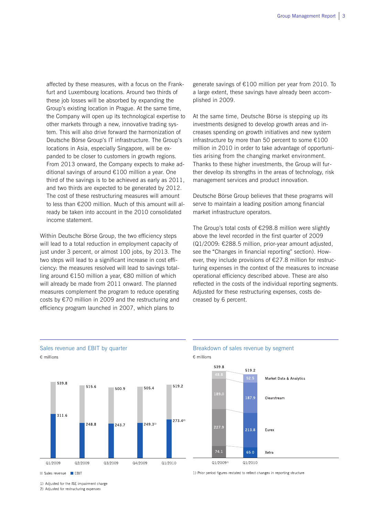affected by these measures, with a focus on the Frankfurt and Luxembourg locations. Around two thirds of these job losses will be absorbed by expanding the Group's existing location in Prague. At the same time, the Company will open up its technological expertise to other markets through a new, innovative trading system. This will also drive forward the harmonization of Deutsche Börse Group's IT infrastructure. The Group's locations in Asia, especially Singapore, will be expanded to be closer to customers in growth regions. From 2013 onward, the Company expects to make additional savings of around €100 million a year. One third of the savings is to be achieved as early as 2011, and two thirds are expected to be generated by 2012. The cost of these restructuring measures will amount to less than €200 million. Much of this amount will already be taken into account in the 2010 consolidated income statement.

Within Deutsche Börse Group, the two efficiency steps will lead to a total reduction in employment capacity of just under 3 percent, or almost 100 jobs, by 2013. The two steps will lead to a significant increase in cost efficiency: the measures resolved will lead to savings totalling around €150 million a year, €80 million of which will already be made from 2011 onward. The planned measures complement the program to reduce operating costs by €70 million in 2009 and the restructuring and efficiency program launched in 2007, which plans to

generate savings of €100 million per year from 2010. To a large extent, these savings have already been accomplished in 2009.

At the same time, Deutsche Börse is stepping up its investments designed to develop growth areas and increases spending on growth initiatives and new system infrastructure by more than 50 percent to some €100 million in 2010 in order to take advantage of opportunities arising from the changing market environment. Thanks to these higher investments, the Group will further develop its strengths in the areas of technology, risk management services and product innovation.

Deutsche Börse Group believes that these programs will serve to maintain a leading position among financial market infrastructure operators.

The Group's total costs of €298.8 million were slightly above the level recorded in the first quarter of 2009 (Q1/2009: €288.5 million, prior-year amount adjusted, see the "Changes in financial reporting" section). However, they include provisions of €27.8 million for restructuring expenses in the context of the measures to increase operational efficiency described above. These are also reflected in the costs of the individual reporting segments. Adjusted for these restructuring expenses, costs decreased by 6 percent.



### Sales revenue and EBIT by quarter **Breakdown of sales revenue by segment**  $E$  millions



1) Prior period figures restated to reflect changes in reporting structure

Sales revenue EBIT

€ millions

1) Adjusted for the ISE impairment charge

2) Adjusted for restructuring expenses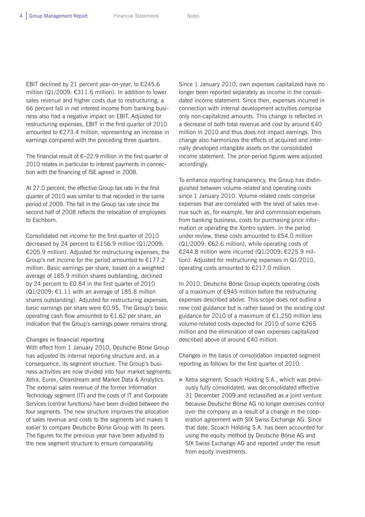EBIT declined by 21 percent year-on-year, to  $£245.6$ million (Q1/2009: €311.6 million). In addition to lower sales revenue and higher costs due to restructuring, a 66 percent fall in net interest income from banking business also had a negative impact on EBIT. Adjusted for restructuring expenses, EBIT in the first quarter of 2010 amounted to €273.4 million, representing an increase in earnings compared with the preceding three quarters.

The financial result of  $\epsilon$ –22.9 million in the first quarter of 2010 relates in particular to interest payments in connection with the financing of ISE agreed in 2008.

At 27.0 percent, the effective Group tax rate in the first quarter of 2010 was similar to that recorded in the same period of 2009. The fall in the Group tax rate since the second half of 2008 reflects the relocation of employees to Eschborn.

Consolidated net income for the first quarter of 2010 decreased by 24 percent to €156.9 million (Q1/2009: €205.9 million). Adjusted for restructuring expenses, the Group's net income for the period amounted to €177.2 million. Basic earnings per share, based on a weighted average of 185.9 million shares outstanding, declined by 24 percent to €0.84 in the first quarter of 2010 (Q1/2009: €1.11 with an average of 185.8 million shares outstanding). Adjusted for restructuring expenses, basic earnings per share were €0.95. The Group's basic operating cash flow amounted to €1.62 per share, an indication that the Group's earnings power remains strong.

#### **Changes in financial reporting**

With effect from 1 January 2010, Deutsche Börse Group has adjusted its internal reporting structure and, as a consequence, its segment structure. The Group's business activities are now divided into four market segments: Xetra, Eurex, Clearstream and Market Data & Analytics. The external sales revenue of the former Information Technology segment (IT) and the costs of IT and Corporate Services (central functions) have been divided between the four segments. The new structure improves the allocation of sales revenue and costs to the segments and makes it easier to compare Deutsche Börse Group with its peers. The figures for the previous year have been adjusted to the new segment structure to ensure comparability.

Since 1 January 2010, own expenses capitalized have no longer been reported separately as income in the consolidated income statement. Since then, expenses incurred in connection with internal development activities comprise only non-capitalized amounts. This change is reflected in a decrease of both total revenue and cost by around €40 million in 2010 and thus does not impact earnings. This change also harmonizes the effects of acquired and internally developed intangible assets on the consolidated income statement. The prior-period figures were adjusted accordingly.

To enhance reporting transparency, the Group has distinguished between volume-related and operating costs since 1 January 2010. Volume-related costs comprise expenses that are correlated with the level of sales revenue such as, for example, fee and commission expenses from banking business, costs for purchasing price information or operating the Xontro system. In the period under review, these costs amounted to €54.0 million  $(Q1/2009: \epsilon 62.6$  million), while operating costs of €244.8 million were incurred (Q1/2009: €225.9 million). Adjusted for restructuring expenses in Q1/2010, operating costs amounted to €217.0 million.

In 2010, Deutsche Börse Group expects operating costs of a maximum of €945 million before the restructuring expenses described above. This scope does not outline a new cost guidance but is rather based on the existing cost guidance for 2010 of a maximum of €1,250 million less volume-related costs expected for 2010 of some €265 million and the elimination of own expenses capitalized described above of around €40 million.

Changes in the basis of consolidation impacted segment reporting as follows for the first quarter of 2010:

■ Xetra segment: Scoach Holding S.A., which was previously fully consolidated, was deconsolidated effective 31 December 2009 and reclassified as a joint venture because Deutsche Börse AG no longer exercises control over the company as a result of a change in the cooperation agreement with SIX Swiss Exchange AG. Since that date, Scoach Holding S.A. has been accounted for using the equity method by Deutsche Börse AG and SIX Swiss Exchange AG and reported under the result from equity investments.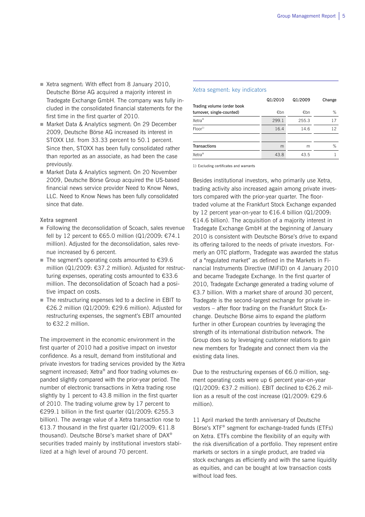- Xetra segment: With effect from 8 January 2010, Deutsche Börse AG acquired a majority interest in Tradegate Exchange GmbH. The company was fully included in the consolidated financial statements for the first time in the first quarter of 2010.
- Market Data & Analytics segment: On 29 December 2009, Deutsche Börse AG increased its interest in STOXX Ltd. from 33.33 percent to 50.1 percent. Since then, STOXX has been fully consolidated rather than reported as an associate, as had been the case previously.
- Market Data & Analytics segment: On 20 November 2009, Deutsche Börse Group acquired the US-based financial news service provider Need to Know News, LLC. Need to Know News has been fully consolidated since that date.

**Xetra segment** 

- Following the deconsolidation of Scoach, sales revenue fell by 12 percent to €65.0 million (Q1/2009: €74.1 million). Adjusted for the deconsolidation, sales revenue increased by 6 percent.
- The segment's operating costs amounted to  $£39.6$ million (Q1/2009: €37.2 million). Adjusted for restructuring expenses, operating costs amounted to €33.6 million. The deconsolidation of Scoach had a positive impact on costs.
- The restructuring expenses led to a decline in EBIT to €26.2 million (Q1/2009: €29.6 million). Adjusted for restructuring expenses, the segment's EBIT amounted to €32.2 million.

The improvement in the economic environment in the first quarter of 2010 had a positive impact on investor confidence. As a result, demand from institutional and private investors for trading services provided by the Xetra segment increased; Xetra® and floor trading volumes expanded slightly compared with the prior-year period. The number of electronic transactions in Xetra trading rose slightly by 1 percent to 43.8 million in the first quarter of 2010. The trading volume grew by 17 percent to €299.1 billion in the first quarter (Q1/2009: €255.3 billion). The average value of a Xetra transaction rose to €13.7 thousand in the first quarter (Q1/2009: €11.8 thousand). Deutsche Börse's market share of DAX® securities traded mainly by institutional investors stabilized at a high level of around 70 percent.

#### Xetra segment: key indicators

|                            | Q1/2010 | Q1/2009 | Change |
|----------------------------|---------|---------|--------|
| Trading volume (order book |         |         |        |
| turnover, single-counted)  | €bn     | €bn     | %      |
| Xetra <sup>®</sup>         | 299.1   | 255.3   | 17     |
| Floor <sup>1</sup>         | 16.4    | 14.6    | 12     |
|                            |         |         |        |
| <b>Transactions</b>        | m       | m       | %      |
| Xetra <sup>®</sup>         | 43.8    | 43.5    |        |

1) Excluding certificates and warrants

Besides institutional investors, who primarily use Xetra, trading activity also increased again among private investors compared with the prior-year quarter. The floortraded volume at the Frankfurt Stock Exchange expanded by 12 percent year-on-year to €16.4 billion (Q1/2009: €14.6 billion). The acquisition of a majority interest in Tradegate Exchange GmbH at the beginning of January 2010 is consistent with Deutsche Börse's drive to expand its offering tailored to the needs of private investors. Formerly an OTC platform, Tradegate was awarded the status of a "regulated market" as defined in the Markets in Financial Instruments Directive (MiFID) on 4 January 2010 and became Tradegate Exchange. In the first quarter of 2010, Tradegate Exchange generated a trading volume of €3.7 billion. With a market share of around 30 percent, Tradegate is the second-largest exchange for private investors – after floor trading on the Frankfurt Stock Exchange. Deutsche Börse aims to expand the platform further in other European countries by leveraging the strength of its international distribution network. The Group does so by leveraging customer relations to gain new members for Tradegate and connect them via the existing data lines.

Due to the restructuring expenses of €6.0 million, segment operating costs were up 6 percent year-on-year  $(Q1/2009: €37.2$  million). EBIT declined to  $€26.2$  million as a result of the cost increase (Q1/2009: €29.6 million).

11 April marked the tenth anniversary of Deutsche Börse's XTF® segment for exchange-traded funds (ETFs) on Xetra. ETFs combine the flexibility of an equity with the risk diversification of a portfolio. They represent entire markets or sectors in a single product, are traded via stock exchanges as efficiently and with the same liquidity as equities, and can be bought at low transaction costs without load fees.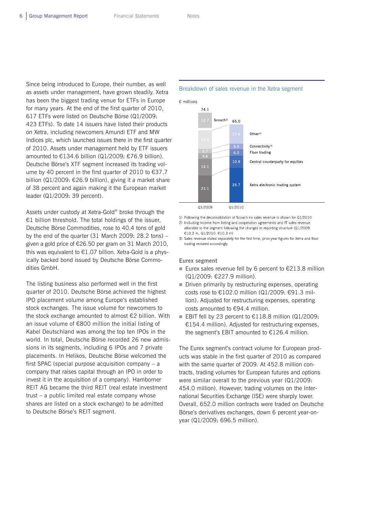Since being introduced to Europe, their number, as well as assets under management, have grown steadily. Xetra has been the biggest trading venue for ETFs in Europe for many years. At the end of the first quarter of 2010, 617 ETFs were listed on Deutsche Börse (Q1/2009: 423 ETFs). To date 14 issuers have listed their products on Xetra, including newcomers Amundi ETF and MW Indices plc, which launched issues there in the first quarter of 2010. Assets under management held by ETF issuers amounted to €134.6 billion (Q1/2009: €76.9 billion). Deutsche Börse's XTF segment increased its trading volume by 40 percent in the first quarter of 2010 to €37.7 billion (Q1/2009: €26.9 billion), giving it a market share of 38 percent and again making it the European market leader (Q1/2009: 39 percent).

Assets under custody at Xetra-Gold® broke through the €1 billion threshold. The total holdings of the issuer, Deutsche Börse Commodities, rose to 40.4 tons of gold by the end of the quarter (31 March 2009: 28.2 tons) – given a gold price of €26.50 per gram on 31 March 2010, this was equivalent to  $E1.07$  billion. Xetra-Gold is a physically backed bond issued by Deutsche Börse Commodities GmbH.

The listing business also performed well in the first quarter of 2010. Deutsche Börse achieved the highest IPO placement volume among Europe's established stock exchanges. The issue volume for newcomers to the stock exchange amounted to almost €2 billion. With an issue volume of €800 million the initial listing of Kabel Deutschland was among the top ten IPOs in the world. In total, Deutsche Börse recorded 26 new admissions in its segments, including 6 IPOs and 7 private placements. In Helikos, Deutsche Börse welcomed the first SPAC (special purpose acquisition company – a company that raises capital through an IPO in order to invest it in the acquisition of a company). Hamborner REIT AG became the third REIT (real estate investment trust – a public limited real estate company whose shares are listed on a stock exchange) to be admitted to Deutsche Börse's REIT segment.

#### Breakdown of sales revenue in the Xetra segment



1) Following the deconsolidation of Scoach no sales revenue is shown for Q1/2010

2) Including income from listing and cooperation agreements and IT sales revenue allocated to the segment following the changes in reporting structure (Q1/2009: €10.2 m. Q1/2010: €10.3 m)

3) Sales revenue stated separately for the first time, prior-year figures for Xetra and floor trading restated accordingly

**Eurex segment** 

- Eurex sales revenue fell by 6 percent to  $\epsilon$ 213.8 million (Q1/2009: €227.9 million).
- Driven primarily by restructuring expenses, operating costs rose to €102.0 million (Q1/2009: €91.3 million). Adjusted for restructuring expenses, operating costs amounted to €94.4 million.
- EBIT fell by 23 percent to  $€118.8$  million (Q1/2009: €154.4 million). Adjusted for restructuring expenses, the segment's EBIT amounted to €126.4 million.

The Eurex segment's contract volume for European products was stable in the first quarter of 2010 as compared with the same quarter of 2009. At 452.8 million contracts, trading volumes for European futures and options were similar overall to the previous year (Q1/2009: 454.0 million). However, trading volumes on the International Securities Exchange (ISE) were sharply lower. Overall, 652.0 million contracts were traded on Deutsche Börse's derivatives exchanges, down 6 percent year-onyear (Q1/2009: 696.5 million).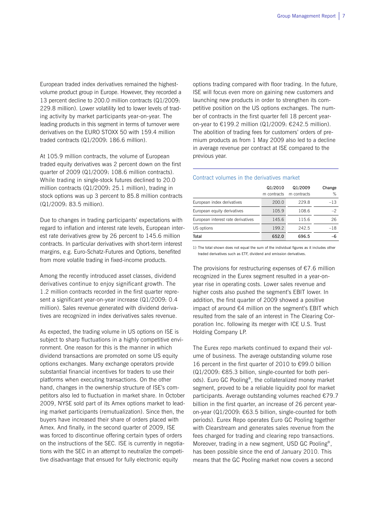European traded index derivatives remained the highestvolume product group in Europe. However, they recorded a 13 percent decline to 200.0 million contracts (Q1/2009: 229.8 million). Lower volatility led to lower levels of trading activity by market participants year-on-year. The leading products in this segment in terms of turnover were derivatives on the EURO STOXX 50 with 159.4 million traded contracts (Q1/2009: 186.6 million).

At 105.9 million contracts, the volume of European traded equity derivatives was 2 percent down on the first quarter of 2009 (Q1/2009: 108.6 million contracts). While trading in single-stock futures declined to 20.0 million contracts (Q1/2009: 25.1 million), trading in stock options was up 3 percent to 85.8 million contracts (Q1/2009: 83.5 million).

Due to changes in trading participants' expectations with regard to inflation and interest rate levels, European interest rate derivatives grew by 26 percent to 145.6 million contracts. In particular derivatives with short-term interest margins, e.g. Euro-Schatz-Futures and Options, benefited from more volatile trading in fixed-income products.

Among the recently introduced asset classes, dividend derivatives continue to enjoy significant growth. The 1.2 million contracts recorded in the first quarter represent a significant year-on-year increase (Q1/2009: 0.4 million). Sales revenue generated with dividend derivatives are recognized in index derivatives sales revenue.

As expected, the trading volume in US options on ISE is subject to sharp fluctuations in a highly competitive environment. One reason for this is the manner in which dividend transactions are promoted on some US equity options exchanges. Many exchange operators provide substantial financial incentives for traders to use their platforms when executing transactions. On the other hand, changes in the ownership structure of ISE's competitors also led to fluctuation in market share. In October 2009, NYSE sold part of its Amex options market to leading market participants (remutualization). Since then, the buyers have increased their share of orders placed with Amex. And finally, in the second quarter of 2009, ISE was forced to discontinue offering certain types of orders on the instructions of the SEC. ISE is currently in negotiations with the SEC in an attempt to neutralize the competitive disadvantage that ensued for fully electronic equity

options trading compared with floor trading. In the future, ISE will focus even more on gaining new customers and launching new products in order to strengthen its competitive position on the US options exchanges. The number of contracts in the first quarter fell 18 percent yearon-year to €199.2 million (Q1/2009: €242.5 million). The abolition of trading fees for customers' orders of premium products as from 1 May 2009 also led to a decline in average revenue per contract at ISE compared to the previous year.

|                                    | Q1/2010<br>m contracts | Q1/2009<br>m contracts | Change<br>% |
|------------------------------------|------------------------|------------------------|-------------|
| European index derivatives         | 200.0                  | 229.8                  | $-13$       |
| European equity derivatives        | 105.9                  | 108.6                  | $-2$        |
| European interest rate derivatives | 145.6                  | 115.6                  | 26          |
| US options                         | 199.2                  | 242.5                  | $-18$       |
| Total                              | 652.0                  | 696.5                  |             |

### Contract volumes in the derivatives market

1) The total shown does not equal the sum of the individual figures as it includes other traded derivatives such as ETF, dividend and emission derivatives.

The provisions for restructuring expenses of  $E$ 7.6 million recognized in the Eurex segment resulted in a year-onyear rise in operating costs. Lower sales revenue and higher costs also pushed the segment's EBIT lower. In addition, the first quarter of 2009 showed a positive impact of around €4 million on the segment's EBIT which resulted from the sale of an interest in The Clearing Corporation Inc. following its merger with ICE U.S. Trust Holding Company LP.

The Eurex repo markets continued to expand their volume of business. The average outstanding volume rose 16 percent in the first quarter of 2010 to €99.0 billion (Q1/2009: €85.3 billion, single-counted for both periods). Euro GC Pooling®, the collateralized money market segment, proved to be a reliable liquidity pool for market participants. Average outstanding volumes reached €79.7 billion in the first quarter, an increase of 26 percent yearon-year (Q1/2009: €63.5 billion, single-counted for both periods). Eurex Repo operates Euro GC Pooling together with Clearstream and generates sales revenue from the fees charged for trading and clearing repo transactions. Moreover, trading in a new segment, USD GC Pooling®, has been possible since the end of January 2010. This means that the GC Pooling market now covers a second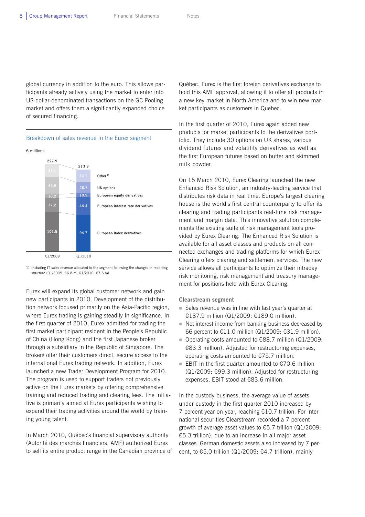global currency in addition to the euro. This allows participants already actively using the market to enter into US-dollar-denominated transactions on the GC Pooling market and offers them a significantly expanded choice of secured financing.



1) Including IT sales revenue allocated to the segment following the changes in reporting structure (01/2009: €6.8 m, 01/2010: €7.5 m)

Eurex will expand its global customer network and gain new participants in 2010. Development of the distribution network focused primarily on the Asia-Pacific region, where Eurex trading is gaining steadily in significance. In the first quarter of 2010, Eurex admitted for trading the first market participant resident in the People's Republic of China (Hong Kong) and the first Japanese broker through a subsidiary in the Republic of Singapore. The brokers offer their customers direct, secure access to the international Eurex trading network. In addition, Eurex launched a new Trader Development Program for 2010. The program is used to support traders not previously active on the Eurex markets by offering comprehensive training and reduced trading and clearing fees. The initiative is primarily aimed at Eurex participants wishing to expand their trading activities around the world by training young talent.

In March 2010, Québec's financial supervisory authority (Autorité des marchés financiers, AMF) authorized Eurex to sell its entire product range in the Canadian province of Québec. Eurex is the first foreign derivatives exchange to hold this AMF approval, allowing it to offer all products in a new key market in North America and to win new market participants as customers in Quebec.

In the first quarter of 2010, Eurex again added new products for market participants to the derivatives portfolio. They include 30 options on UK shares, various dividend futures and volatility derivatives as well as the first European futures based on butter and skimmed milk powder.

On 15 March 2010, Eurex Clearing launched the new Enhanced Risk Solution, an industry-leading service that distributes risk data in real time. Europe's largest clearing house is the world's first central counterparty to offer its clearing and trading participants real-time risk management and margin data. This innovative solution complements the existing suite of risk management tools provided by Eurex Clearing. The Enhanced Risk Solution is available for all asset classes and products on all connected exchanges and trading platforms for which Eurex Clearing offers clearing and settlement services. The new service allows all participants to optimize their intraday risk monitoring, risk management and treasury management for positions held with Eurex Clearing.

**Clearstream segment** 

- Sales revenue was in line with last year's quarter at €187.9 million (Q1/2009: €189.0 million).
- $\blacksquare$  Net interest income from banking business decreased by 66 percent to €11.0 million (Q1/2009: €31.9 million).
- Operating costs amounted to  $€88.7$  million (Q1/2009: €83.3 million). Adjusted for restructuring expenses, operating costs amounted to €75.7 million.
- EBIT in the first quarter amounted to  $€70.6$  million (Q1/2009: €99.3 million). Adjusted for restructuring expenses, EBIT stood at €83.6 million.

In the custody business, the average value of assets under custody in the first quarter 2010 increased by 7 percent year-on-year, reaching €10.7 trillion. For international securities Clearstream recorded a 7 percent growth of average asset values to €5.7 trillion (Q1/2009: €5.3 trillion), due to an increase in all major asset classes. German domestic assets also increased by 7 percent, to  $\epsilon$ 5.0 trillion (Q1/2009:  $\epsilon$ 4.7 trillion), mainly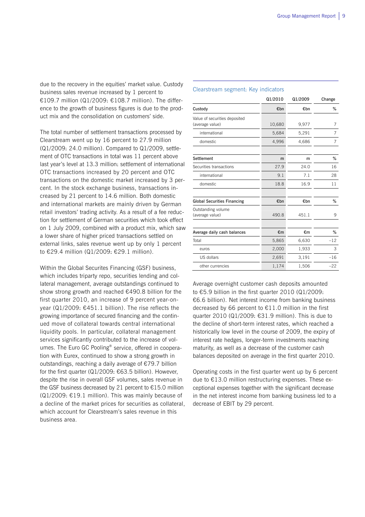due to the recovery in the equities' market value. Custody business sales revenue increased by 1 percent to €109.7 million (Q1/2009: €108.7 million). The difference to the growth of business figures is due to the product mix and the consolidation on customers' side.

The total number of settlement transactions processed by Clearstream went up by 16 percent to 27.9 million (Q1/2009: 24.0 million). Compared to Q1/2009, settlement of OTC transactions in total was 11 percent above last year's level at 13.3 million: settlement of international OTC transactions increased by 20 percent and OTC transactions on the domestic market increased by 3 percent. In the stock exchange business, transactions increased by 21 percent to 14.6 million. Both domestic and international markets are mainly driven by German retail investors' trading activity. As a result of a fee reduction for settlement of German securities which took effect on 1 July 2009, combined with a product mix, which saw a lower share of higher priced transactions settled on external links, sales revenue went up by only 1 percent to €29.4 million (Q1/2009: €29.1 million).

Within the Global Securites Financing (GSF) business, which includes triparty repo, securities lending and collateral management, average outstandings continued to show strong growth and reached €490.8 billion for the first quarter 2010, an increase of 9 percent year-onyear (Q1/2009: €451.1 billion). The rise reflects the growing importance of secured financing and the continued move of collateral towards central international liquidity pools. In particular, collateral management services significantly contributed to the increase of volumes. The Euro GC Pooling® service, offered in cooperation with Eurex, continued to show a strong growth in outstandings, reaching a daily average of €79.7 billion for the first quarter (Q1/2009: €63.5 billion). However, despite the rise in overall GSF volumes, sales revenue in the GSF business decreased by 21 percent to €15.0 million  $(Q1/2009: \text{£}19.1$  million). This was mainly because of a decline of the market prices for securities as collateral, which account for Clearstream's sales revenue in this business area.

### Clearstream segment: Key indicators

|                                                  | Q1/2010 | Q1/2009 | Change |
|--------------------------------------------------|---------|---------|--------|
| Custody                                          | €bn     | €bn     | %      |
| Value of securities deposited<br>(average value) | 10,680  | 9,977   | 7      |
| international                                    | 5,684   | 5,291   | 7      |
| domestic                                         | 4,996   | 4,686   | 7      |
|                                                  |         |         |        |
| Settlement                                       | m       | m       | %      |
| Securities transactions                          | 27.9    | 24.0    | 16     |
| international                                    | 9.1     | 7.1     | 28     |
| domestic                                         | 18.8    | 16.9    | 11     |
|                                                  |         |         |        |
| <b>Global Securities Financing</b>               | €bn     | €bn     | %      |
| Outstanding volume<br>(average value)            | 490.8   | 451.1   | 9      |
|                                                  |         |         |        |
| Average daily cash balances                      | €m      | €m      | %      |
| Total                                            | 5,865   | 6,630   | $-12$  |
| euros                                            | 2,000   | 1,933   | 3      |
| US dollars                                       | 2,691   | 3,191   | $-16$  |
| other currencies                                 | 1,174   | 1,506   | $-22$  |

Average overnight customer cash deposits amounted to €5.9 billion in the first quarter 2010 (Q1/2009: €6.6 billion). Net interest income from banking business decreased by 66 percent to €11.0 million in the first quarter 2010 (Q1/2009: €31.9 million). This is due to the decline of short-term interest rates, which reached a historically low level in the course of 2009, the expiry of interest rate hedges, longer-term investments reaching maturity, as well as a decrease of the customer cash balances deposited on average in the first quarter 2010.

Operating costs in the first quarter went up by 6 percent due to €13.0 million restructuring expenses. These exceptional expenses together with the significant decrease in the net interest income from banking business led to a decrease of EBIT by 29 percent.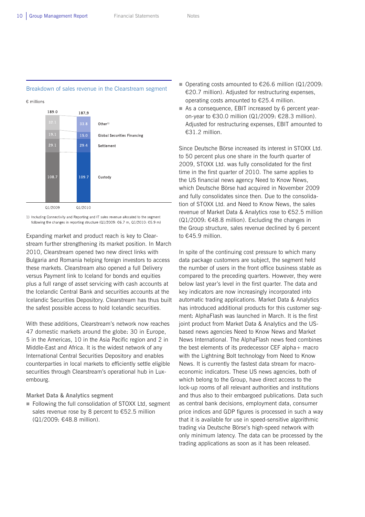## Breakdown of sales revenue in the Clearstream segment

€ millions



1) Including Connectivity and Reporting and IT sales revenue allocated to the segment following the changes in reporting structure (Q1/2009: €6.7 m, Q1/2010: €5.9 m)

Expanding market and product reach is key to Clearstream further strengthening its market position. In March 2010, Clearstream opened two new direct links with Bulgaria and Romania helping foreign investors to access these markets. Clearstream also opened a full Delivery versus Payment link to Iceland for bonds and equities plus a full range of asset servicing with cash accounts at the Icelandic Central Bank and securities accounts at the Icelandic Securities Depository. Clearstream has thus built the safest possible access to hold Icelandic securities.

With these additions, Clearstream's network now reaches 47 domestic markets around the globe: 30 in Europe, 5 in the Americas, 10 in the Asia Pacific region and 2 in Middle-East and Africa. It is the widest network of any International Central Securities Depository and enables counterparties in local markets to efficiently settle eligible securities through Clearstream's operational hub in Luxembourg.

### **Market Data & Analytics segment**

Following the full consolidation of STOXX Ltd, segment sales revenue rose by 8 percent to €52.5 million (Q1/2009: €48.8 million).

- Operating costs amounted to  $€26.6$  million (Q1/2009: €20.7 million). Adjusted for restructuring expenses, operating costs amounted to €25.4 million.
- As a consequence, EBIT increased by 6 percent yearon-year to €30.0 million (Q1/2009: €28.3 million). Adjusted for restructuring expenses, EBIT amounted to €31.2 million.

Since Deutsche Börse increased its interest in STOXX Ltd. to 50 percent plus one share in the fourth quarter of 2009, STOXX Ltd. was fully consolidated for the first time in the first quarter of 2010. The same applies to the US financial news agency Need to Know News, which Deutsche Börse had acquired in November 2009 and fully consolidates since then. Due to the consolidation of STOXX Ltd. and Need to Know News, the sales revenue of Market Data & Analytics rose to €52.5 million (Q1/2009: €48.8 million). Excluding the changes in the Group structure, sales revenue declined by 6 percent to €45.9 million.

In spite of the continuing cost pressure to which many data package customers are subject, the segment held the number of users in the front office business stable as compared to the preceding quarters. However, they were below last year's level in the first quarter. The data and key indicators are now increasingly incorporated into automatic trading applications. Market Data & Analytics has introduced additional products for this customer segment: AlphaFlash was launched in March. It is the first joint product from Market Data & Analytics and the USbased news agencies Need to Know News and Market News International. The AlphaFlash news feed combines the best elements of its predecessor CEF alpha+ macro with the Lightning Bolt technology from Need to Know News. It is currently the fastest data stream for macroeconomic indicators. These US news agencies, both of which belong to the Group, have direct access to the lock-up rooms of all relevant authorities and institutions and thus also to their embargoed publications. Data such as central bank decisions, employment data, consumer price indices and GDP figures is processed in such a way that it is available for use in speed-sensitive algorithmic trading via Deutsche Börse's high-speed network with only minimum latency. The data can be processed by the trading applications as soon as it has been released.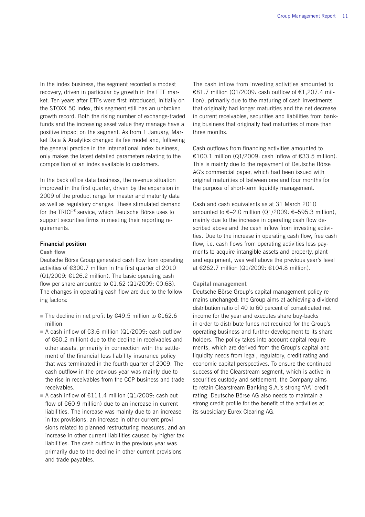In the index business, the segment recorded a modest recovery, driven in particular by growth in the ETF market. Ten years after ETFs were first introduced, initially on the STOXX 50 index, this segment still has an unbroken growth record. Both the rising number of exchange-traded funds and the increasing asset value they manage have a positive impact on the segment. As from 1 January, Market Data & Analytics changed its fee model and, following the general practice in the international index business, only makes the latest detailed parameters relating to the composition of an index available to customers.

In the back office data business, the revenue situation improved in the first quarter, driven by the expansion in 2009 of the product range for master and maturity data as well as regulatory changes. These stimulated demand for the TRICE® service, which Deutsche Börse uses to support securities firms in meeting their reporting requirements.

### **Financial position**

### **Cash flow**

Deutsche Börse Group generated cash flow from operating activities of €300.7 million in the first quarter of 2010  $(Q1/2009: \text{£}126.2 \text{ million})$ . The basic operating cash flow per share amounted to  $\text{\textsterling}1.62$  (Q1/2009:  $\text{\textsterling}0.68$ ). The changes in operating cash flow are due to the following factors:

- The decline in net profit by  $€49.5$  million to  $€162.6$ million
- A cash inflow of  $63.6$  million (Q1/2009: cash outflow of €60.2 million) due to the decline in receivables and other assets, primarily in connection with the settlement of the financial loss liability insurance policy that was terminated in the fourth quarter of 2009. The cash outflow in the previous year was mainly due to the rise in receivables from the CCP business and trade receivables.
- A cash inflow of  $£111.4$  million (Q1/2009: cash outflow of €60.9 million) due to an increase in current liabilities. The increase was mainly due to an increase in tax provisions, an increase in other current provisions related to planned restructuring measures, and an increase in other current liabilities caused by higher tax liabilities. The cash outflow in the previous year was primarily due to the decline in other current provisions and trade payables.

The cash inflow from investing activities amounted to €81.7 million (Q1/2009: cash outflow of  $€1,207.4$  million), primarily due to the maturing of cash investments that originally had longer maturities and the net decrease in current receivables, securities and liabilities from banking business that originally had maturities of more than three months.

Cash outflows from financing activities amounted to €100.1 million (Q1/2009: cash inflow of €33.5 million). This is mainly due to the repayment of Deutsche Börse AG's commercial paper, which had been issued with original maturities of between one and four months for the purpose of short-term liquidity management.

Cash and cash equivalents as at 31 March 2010 amounted to  $€-2.0$  million (Q1/2009:  $€-595.3$  million), mainly due to the increase in operating cash flow described above and the cash inflow from investing activities. Due to the increase in operating cash flow, free cash flow, i.e. cash flows from operating activities less payments to acquire intangible assets and property, plant and equipment, was well above the previous year's level at €262.7 million (Q1/2009: €104.8 million).

#### **Capital management**

Deutsche Börse Group's capital management policy remains unchanged: the Group aims at achieving a dividend distribution ratio of 40 to 60 percent of consolidated net income for the year and executes share buy-backs in order to distribute funds not required for the Group's operating business and further development to its shareholders. The policy takes into account capital requirements, which are derived from the Group's capital and liquidity needs from legal, regulatory, credit rating and economic capital perspectives. To ensure the continued success of the Clearstream segment, which is active in securities custody and settlement, the Company aims to retain Clearstream Banking S.A.'s strong "AA" credit rating. Deutsche Börse AG also needs to maintain a strong credit profile for the benefit of the activities at its subsidiary Eurex Clearing AG.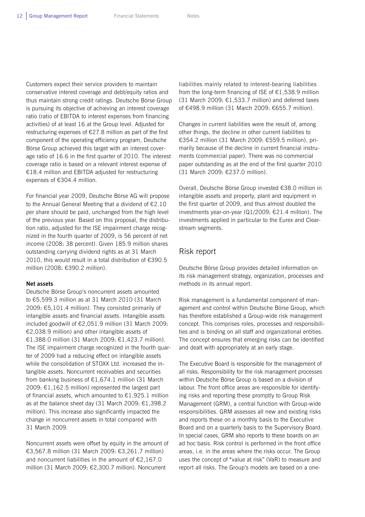Customers expect their service providers to maintain conservative interest coverage and debt/equity ratios and thus maintain strong credit ratings. Deutsche Börse Group is pursuing its objective of achieving an interest coverage ratio (ratio of EBITDA to interest expenses from financing activities) of at least 16 at the Group level. Adjusted for restructuring expenses of €27.8 million as part of the first component of the operating efficiency program, Deutsche Börse Group achieved this target with an interest coverage ratio of 16.6 in the first quarter of 2010. The interest coverage ratio is based on a relevant interest expense of €18.4 million and EBITDA adjusted for restructuring expenses of €304.4 million.

For financial year 2009, Deutsche Börse AG will propose to the Annual General Meeting that a dividend of €2.10 per share should be paid, unchanged from the high level of the previous year. Based on this proposal, the distribution ratio, adjusted for the ISE impairment charge recognized in the fourth quarter of 2009, is 56 percent of net income (2008: 38 percent). Given 185.9 million shares outstanding carrying dividend rights as at 31 March 2010, this would result in a total distribution of €390.5 million (2008: €390.2 million).

### **Net assets**

Deutsche Börse Group's noncurrent assets amounted to €5,599.3 million as at 31 March 2010 (31 March 2009: €5,101.4 million). They consisted primarily of intangible assets and financial assets. Intangible assets included goodwill of €2,051.9 million (31 March 2009: €2,038.9 million) and other intangible assets of €1,388.0 million (31 March 2009: €1,423.7 million). The ISE impairment charge recognized in the fourth quarter of 2009 had a reducing effect on intangible assets while the consolidation of STOXX Ltd. increased the intangible assets. Noncurrent receivables and securities from banking business of €1,674.1 million (31 March 2009: €1,162.5 million) represented the largest part of financial assets, which amounted to  $£1,925.1$  million as at the balance sheet day (31 March 2009: €1,398.2 million). This increase also significantly impacted the change in noncurrent assets in total compared with 31 March 2009.

Noncurrent assets were offset by equity in the amount of €3,567.8 million (31 March 2009: €3,261.7 million) and noncurrent liabilities in the amount of €2,167.0 million (31 March 2009: €2,300.7 million). Noncurrent

liabilities mainly related to interest-bearing liabilities from the long-term financing of ISE of  $E1,538.9$  million (31 March 2009:  $£1,533.7$  million) and deferred taxes of €498.9 million (31 March 2009: €655.7 million).

Changes in current liabilities were the result of, among other things, the decline in other current liabilities to €354.2 million (31 March 2009: €559.5 million), primarily because of the decline in current financial instruments (commercial paper). There was no commercial paper outstanding as at the end of the first quarter 2010 (31 March 2009: €237.0 million).

Overall, Deutsche Börse Group invested €38.0 million in intangible assets and property, plant and equipment in the first quarter of 2009, and thus almost doubled the investments year-on-year (Q1/2009: €21.4 million). The investments applied in particular to the Eurex and Clearstream segments.

## Risk report

Deutsche Börse Group provides detailed information on its risk management strategy, organization, processes and methods in its annual report.

Risk management is a fundamental component of management and control within Deutsche Börse Group, which has therefore established a Group-wide risk management concept. This comprises roles, processes and responsibilities and is binding on all staff and organizational entities. The concept ensures that emerging risks can be identified and dealt with appropriately at an early stage.

The Executive Board is responsible for the management of all risks. Responsibility for the risk management processes within Deutsche Börse Group is based on a division of labour. The front office areas are responsible for identifying risks and reporting these promptly to Group Risk Management (GRM), a central function with Group-wide responsibilities. GRM assesses all new and existing risks and reports these on a monthly basis to the Executive Board and on a quarterly basis to the Supervisory Board. In special cases, GRM also reports to these boards on an ad hoc basis. Risk control is performed in the front office areas, i.e. in the areas where the risks occur. The Group uses the concept of "value at risk" (VaR) to measure and report all risks. The Group's models are based on a one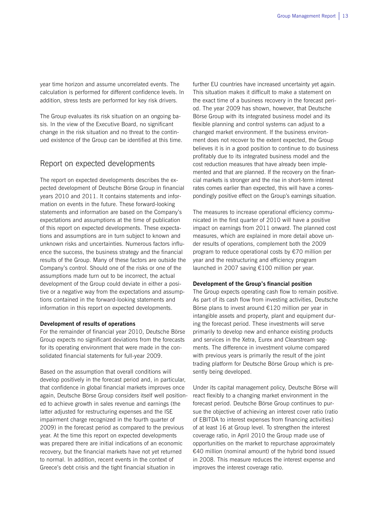year time horizon and assume uncorrelated events. The calculation is performed for different confidence levels. In addition, stress tests are performed for key risk drivers.

The Group evaluates its risk situation on an ongoing basis. In the view of the Executive Board, no significant change in the risk situation and no threat to the continued existence of the Group can be identified at this time.

## Report on expected developments

The report on expected developments describes the expected development of Deutsche Börse Group in financial years 2010 and 2011. It contains statements and information on events in the future. These forward-looking statements and information are based on the Company's expectations and assumptions at the time of publication of this report on expected developments. These expectations and assumptions are in turn subject to known and unknown risks and uncertainties. Numerous factors influence the success, the business strategy and the financial results of the Group. Many of these factors are outside the Company's control. Should one of the risks or one of the assumptions made turn out to be incorrect, the actual development of the Group could deviate in either a positive or a negative way from the expectations and assumptions contained in the forward-looking statements and information in this report on expected developments.

### **Development of results of operations**

For the remainder of financial year 2010, Deutsche Börse Group expects no significant deviations from the forecasts for its operating environment that were made in the consolidated financial statements for full-year 2009.

Based on the assumption that overall conditions will develop positively in the forecast period and, in particular, that confidence in global financial markets improves once again, Deutsche Börse Group considers itself well positioned to achieve growth in sales revenue and earnings (the latter adjusted for restructuring expenses and the ISE impairment charge recognized in the fourth quarter of 2009) in the forecast period as compared to the previous year. At the time this report on expected developments was prepared there are initial indications of an economic recovery, but the financial markets have not yet returned to normal. In addition, recent events in the context of Greece's debt crisis and the tight financial situation in

further EU countries have increased uncertainty yet again. This situation makes it difficult to make a statement on the exact time of a business recovery in the forecast period. The year 2009 has shown, however, that Deutsche Börse Group with its integrated business model and its flexible planning and control systems can adjust to a changed market environment. If the business environment does not recover to the extent expected, the Group believes it is in a good position to continue to do business profitably due to its integrated business model and the cost reduction measures that have already been implemented and that are planned. If the recovery on the financial markets is stronger and the rise in short-term interest rates comes earlier than expected, this will have a correspondingly positive effect on the Group's earnings situation.

The measures to increase operational efficiency communicated in the first quarter of 2010 will have a positive impact on earnings from 2011 onward. The planned cost measures, which are explained in more detail above under results of operations, complement both the 2009 program to reduce operational costs by €70 million per year and the restructuring and efficiency program launched in 2007 saving €100 million per year.

#### **Development of the Group's financial position**

The Group expects operating cash flow to remain positive. As part of its cash flow from investing activities, Deutsche Börse plans to invest around €120 million per year in intangible assets and property, plant and equipment during the forecast period. These investments will serve primarily to develop new and enhance existing products and services in the Xetra, Eurex and Clearstream segments. The difference in investment volume compared with previous years is primarily the result of the joint trading platform for Deutsche Börse Group which is presently being developed.

Under its capital management policy, Deutsche Börse will react flexibly to a changing market environment in the forecast period. Deutsche Börse Group continues to pursue the objective of achieving an interest cover ratio (ratio of EBITDA to interest expenses from financing activities) of at least 16 at Group level. To strengthen the interest coverage ratio, in April 2010 the Group made use of opportunities on the market to repurchase approximately €40 million (nominal amount) of the hybrid bond issued in 2008. This measure reduces the interest expense and improves the interest coverage ratio.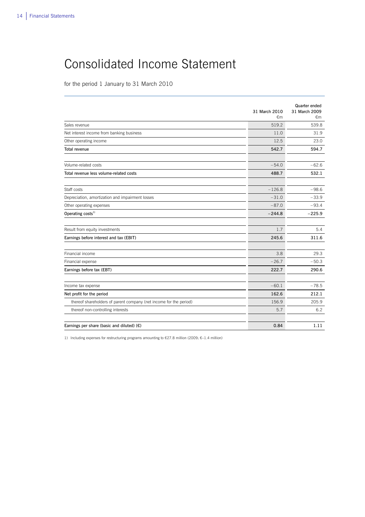# Consolidated Income Statement

for the period 1 January to 31 March 2010

|                                                                    | 31 March 2010<br>€m | Quarter ended<br>31 March 2009<br>€m |
|--------------------------------------------------------------------|---------------------|--------------------------------------|
| Sales revenue                                                      | 519.2               | 539.8                                |
| Net interest income from banking business                          | 11.0                | 31.9                                 |
| Other operating income                                             | 12.5                | 23.0                                 |
| Total revenue                                                      | 542.7               | 594.7                                |
| Volume-related costs                                               | $-54.0$             | $-62.6$                              |
| Total revenue less volume-related costs                            | 488.7               | 532.1                                |
| Staff costs                                                        | $-126.8$            | $-98.6$                              |
| Depreciation, amortization and impairment losses                   | $-31.0$             | $-33.9$                              |
| Other operating expenses                                           | $-87.0$             | $-93.4$                              |
| Operating $costs1$                                                 | $-244.8$            | $-225.9$                             |
|                                                                    |                     |                                      |
| Result from equity investments                                     | 1.7                 | 5.4                                  |
| Earnings before interest and tax (EBIT)                            | 245.6               | 311.6                                |
| Financial income                                                   | 3.8                 | 29.3                                 |
| Financial expense                                                  | $-26.7$             | $-50.3$                              |
| Earnings before tax (EBT)                                          | 222.7               | 290.6                                |
| Income tax expense                                                 | $-60.1$             | $-78.5$                              |
| Net profit for the period                                          | 162.6               | 212.1                                |
| thereof shareholders of parent company (net income for the period) | 156.9               | 205.9                                |
| thereof non-controlling interests                                  | 5.7                 | 6.2                                  |
|                                                                    |                     |                                      |
| Earnings per share (basic and diluted) $(E)$                       | 0.84                | 1.11                                 |

 $\overline{a}$ 

1) Including expenses for restructuring programs amounting to €27.8 million (2009: €–1.4 million)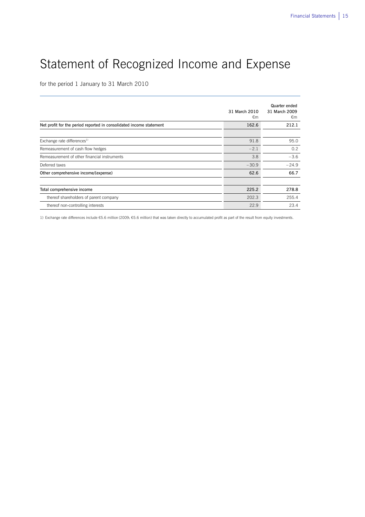# Statement of Recognized Income and Expense

 $\overline{a}$ 

for the period 1 January to 31 March 2010

|                                                                     | 31 March 2010<br>€m | Quarter ended<br>31 March 2009<br>€m |
|---------------------------------------------------------------------|---------------------|--------------------------------------|
| Net profit for the period reported in consolidated income statement | 162.6               | 212.1                                |
|                                                                     |                     |                                      |
| Exchange rate differences <sup>1)</sup>                             | 91.8                | 95.0                                 |
| Remeasurement of cash flow hedges                                   | $-2.1$              | 0.2                                  |
| Remeasurement of other financial instruments                        | 3.8                 | $-3.6$                               |
| Deferred taxes                                                      | $-30.9$             | $-24.9$                              |
| Other comprehensive income/(expense)                                | 62.6                | 66.7                                 |
|                                                                     |                     |                                      |
| Total comprehensive income                                          | 225.2               | 278.8                                |
| thereof shareholders of parent company                              | 202.3               | 255.4                                |
| thereof non-controlling interests                                   | 22.9                | 23.4                                 |

1) Exchange rate differences include €5.6 million (2009: €5.6 million) that was taken directly to accumulated profit as part of the result from equity investments.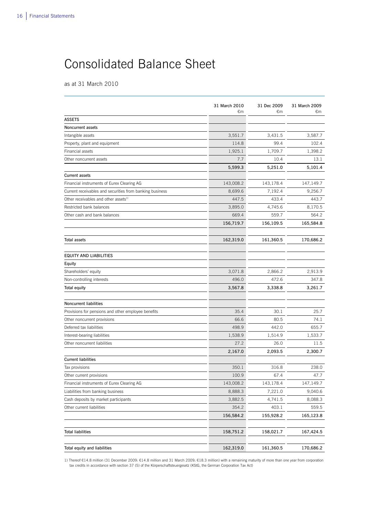# Consolidated Balance Sheet

as at 31 March 2010

|                                                          | 31 March 2010<br>€m | 31 Dec 2009<br>€m | 31 March 2009<br>€m |
|----------------------------------------------------------|---------------------|-------------------|---------------------|
| <b>ASSETS</b>                                            |                     |                   |                     |
| Noncurrent assets                                        |                     |                   |                     |
| Intangible assets                                        | 3,551.7             | 3,431.5           | 3,587.7             |
| Property, plant and equipment                            | 114.8               | 99.4              | 102.4               |
| Financial assets                                         | 1,925.1             | 1,709.7           | 1,398.2             |
| Other noncurrent assets                                  | 7.7                 | 10.4              | 13.1                |
|                                                          | 5,599.3             | 5,251.0           | 5,101.4             |
| <b>Current assets</b>                                    |                     |                   |                     |
| Financial instruments of Eurex Clearing AG               | 143,008.2           | 143,178.4         | 147,149.7           |
| Current receivables and securities from banking business | 8,699.6             | 7,192.4           | 9,256.7             |
| Other receivables and other assets <sup>1)</sup>         | 447.5               | 433.4             | 443.7               |
| Restricted bank balances                                 | 3,895.0             | 4,745.6           | 8,170.5             |
| Other cash and bank balances                             | 669.4               | 559.7             | 564.2               |
|                                                          | 156,719.7           | 156,109.5         | 165,584.8           |
| Total assets                                             | 162,319.0           | 161,360.5         | 170,686.2           |
| <b>EQUITY AND LIABILITIES</b>                            |                     |                   |                     |
| Equity                                                   |                     |                   |                     |
| Shareholders' equity                                     | 3,071.8             | 2,866.2           | 2,913.9             |
| Non-controlling interests                                | 496.0               | 472.6             | 347.8               |
| <b>Total equity</b>                                      | 3,567.8             | 3,338.8           | 3,261.7             |
| Noncurrent liabilities                                   |                     |                   |                     |
| Provisions for pensions and other employee benefits      | 35.4                | 30.1              | 25.7                |
| Other noncurrent provisions                              | 66.6                | 80.5              | 74.1                |
| Deferred tax liabilities                                 | 498.9               | 442.0             | 655.7               |
| Interest-bearing liabilities                             | 1,538.9             | 1,514.9           | 1,533.7             |
| Other noncurrent liabilities                             | 27.2                | 26.0              | 11.5                |
|                                                          | 2,167.0             | 2,093.5           | 2,300.7             |
| <b>Current liabilities</b>                               |                     |                   |                     |
| Tax provisions                                           | 350.1               | 316.8             | 238.0               |
| Other current provisions                                 | 100.9               | 67.4              | 47.7                |
| Financial instruments of Eurex Clearing AG               | 143,008.2           | 143,178.4         | 147,149.7           |
| Liabilities from banking business                        | 8,888.3             | 7,221.0           | 9,040.6             |
| Cash deposits by market participants                     | 3,882.5             | 4,741.5           | 8,088.3             |
| Other current liabilities                                | 354.2               | 403.1             | 559.5               |
|                                                          | 156,584.2           | 155,928.2         | 165,123.8           |
| <b>Total liabilities</b>                                 | 158,751.2           | 158,021.7         | 167,424.5           |
|                                                          |                     |                   |                     |
| Total equity and liabilities                             | 162,319.0           | 161,360.5         | 170,686.2           |

 $\overline{a}$ 

1) Thereof €14.8 million (31 December 2009: €14.8 million and 31 March 2009: €18.3 million) with a remaining maturity of more than one year from corporation tax credits in accordance with section 37 (5) of the Körperschaftsteuergesetz (KStG, the German Corporation Tax Act)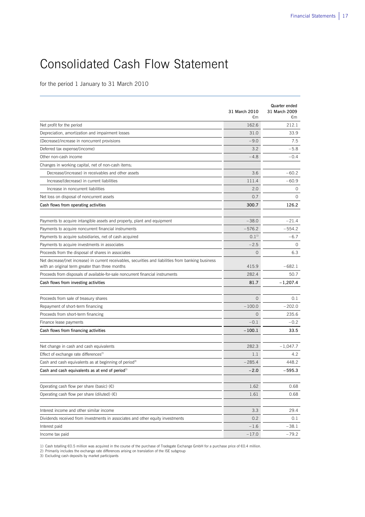# Consolidated Cash Flow Statement

for the period 1 January to 31 March 2010

|                                                                                                                                                         | 31 March 2010<br>€m | <b>Quarter ended</b><br>31 March 2009 |
|---------------------------------------------------------------------------------------------------------------------------------------------------------|---------------------|---------------------------------------|
|                                                                                                                                                         | 162.6               | €m<br>212.1                           |
| Net profit for the period                                                                                                                               |                     |                                       |
| Depreciation, amortization and impairment losses                                                                                                        | 31.0                | 33.9                                  |
| (Decrease)/increase in noncurrent provisions                                                                                                            | $-9.0$              | 7.5                                   |
| Deferred tax expense/(income)                                                                                                                           | 3.2                 | $-5.8$                                |
| Other non-cash income                                                                                                                                   | $-4.8$              | $-0.4$                                |
| Changes in working capital, net of non-cash items:                                                                                                      |                     |                                       |
| Decrease/(increase) in receivables and other assets                                                                                                     | 3.6                 | $-60.2$                               |
| Increase/(decrease) in current liabilities                                                                                                              | 111.4               | $-60.9$                               |
| Increase in noncurrent liabilities                                                                                                                      | 2.0                 | 0                                     |
| Net loss on disposal of noncurrent assets                                                                                                               | 0.7                 | $\Omega$                              |
| Cash flows from operating activities                                                                                                                    | 300.7               | 126.2                                 |
| Payments to acquire intangible assets and property, plant and equipment                                                                                 | $-38.0$             | $-21.4$                               |
| Payments to acquire noncurrent financial instruments                                                                                                    | $-576.2$            | $-554.2$                              |
| Payments to acquire subsidiaries, net of cash acquired                                                                                                  | $0.1^{11}$          | $-6.7$                                |
| Payments to acquire investments in associates                                                                                                           | $-2.5$              | $\circ$                               |
| Proceeds from the disposal of shares in associates                                                                                                      | $\circ$             | 6.3                                   |
| Net decrease/(net increase) in current receivables, securities and liabilities from banking business<br>with an original term greater than three months | 415.9               | $-682.1$                              |
| Proceeds from disposals of available-for-sale noncurrent financial instruments                                                                          | 282.4               | 50.7                                  |
| Cash flows from investing activities                                                                                                                    | 81.7                | $-1,207.4$                            |
|                                                                                                                                                         |                     |                                       |
| Proceeds from sale of treasury shares                                                                                                                   | $\Omega$            | 0.1                                   |
| Repayment of short-term financing                                                                                                                       | $-100.0$            | $-202.0$                              |
| Proceeds from short-term financing                                                                                                                      | $\circ$             | 235.6                                 |
| Finance lease payments                                                                                                                                  | $-0.1$              | $-0.2$                                |
| Cash flows from financing activities                                                                                                                    | $-100.1$            | 33.5                                  |
| Net change in cash and cash equivalents                                                                                                                 | 282.3               | $-1,047.7$                            |
| Effect of exchange rate differences <sup>2)</sup>                                                                                                       | 1.1                 | 4.2                                   |
| Cash and cash equivalents as at beginning of period <sup>3)</sup>                                                                                       | $-285.4$            | 448.2                                 |
| Cash and cash equivalents as at end of period <sup>3)</sup>                                                                                             | $-2.0$              | $-595.3$                              |
| Operating cash flow per share (basic) $(\epsilon)$                                                                                                      | 1.62                | 0.68                                  |
|                                                                                                                                                         |                     |                                       |
| Operating cash flow per share (diluted) $(\epsilon)$                                                                                                    | 1.61                | 0.68                                  |
| Interest income and other similar income                                                                                                                | 3.3                 | 29.4                                  |
| Dividends received from investments in associates and other equity investments                                                                          | 0.2                 | 0.1                                   |
| Interest paid                                                                                                                                           | $-1.6$              | $-38.1$                               |
| Income tax paid                                                                                                                                         | $-17.0$             | $-79.2$                               |

 $\overline{a}$ 

1) Cash totalling €0.5 million was acquired in the course of the purchase of Tradegate Exchange GmbH for a purchase price of €0.4 million.

2) Primarily includes the exchange rate differences arising on translation of the ISE subgroup 3) Excluding cash deposits by market participants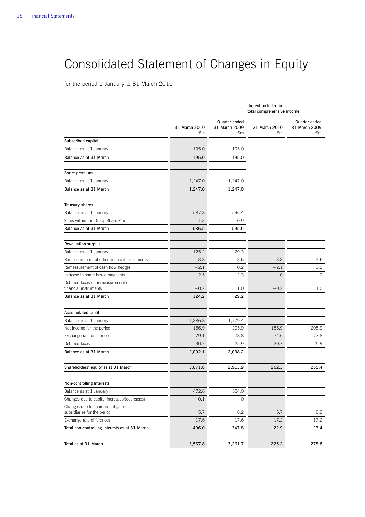# Consolidated Statement of Changes in Equity

 $\overline{a}$ 

for the period 1 January to 31 March 2010

|                                                                    |                     |                                             | thereof included in<br>total comprehensive income |                                             |
|--------------------------------------------------------------------|---------------------|---------------------------------------------|---------------------------------------------------|---------------------------------------------|
|                                                                    | 31 March 2010<br>€m | <b>Quarter ended</b><br>31 March 2009<br>€m | 31 March 2010<br>€m                               | <b>Quarter ended</b><br>31 March 2009<br>€m |
| Subscribed capital                                                 |                     |                                             |                                                   |                                             |
| Balance as at 1 January                                            | 195.0               | 195.0                                       |                                                   |                                             |
| Balance as at 31 March                                             | 195.0               | 195.0                                       |                                                   |                                             |
| Share premium                                                      |                     |                                             |                                                   |                                             |
| Balance as at 1 January                                            | 1,247.0             | 1,247.0                                     |                                                   |                                             |
| Balance as at 31 March                                             | 1,247.0             | 1,247.0                                     |                                                   |                                             |
| <b>Treasury shares</b>                                             |                     |                                             |                                                   |                                             |
| Balance as at 1 January                                            | $-587.8$            | $-596.4$                                    |                                                   |                                             |
| Sales within the Group Share Plan                                  | 1.3                 | 0.9                                         |                                                   |                                             |
| Balance as at 31 March                                             | $-586.5$            | $-595.5$                                    |                                                   |                                             |
| <b>Revaluation surplus</b>                                         |                     |                                             |                                                   |                                             |
| Balance as at 1 January                                            | 125.2               | 29.3                                        |                                                   |                                             |
| Remeasurement of other financial instruments                       | 3.8                 | $-3.6$                                      | 3.8                                               | $-3.6$                                      |
| Remeasurement of cash flow hedges                                  | $-2.1$              | 0.2                                         | $-2.1$                                            | 0.2                                         |
| Increase in share-based payments                                   | $-2.5$              | 2.3                                         | $\mathsf{O}\xspace$                               | 0                                           |
| Deferred taxes on remeasurement of<br>financial instruments        | $-0.2$              | 1.0                                         | $-0.2$                                            | 1.0                                         |
| Balance as at 31 March                                             | 124.2               | 29.2                                        |                                                   |                                             |
| Accumulated profit                                                 |                     |                                             |                                                   |                                             |
| Balance as at 1 January                                            | 1,886.8             | 1,779.4                                     |                                                   |                                             |
| Net income for the period                                          | 156.9               | 205.9                                       | 156.9                                             | 205.9                                       |
| Exchange rate differences                                          | 79.1                | 78.8                                        | 74.6                                              | 77.8                                        |
| Deferred taxes                                                     | $-30.7$             | $-25.9$                                     | $-30.7$                                           | $-25.9$                                     |
| Balance as at 31 March                                             | 2,092.1             | 2,038.2                                     |                                                   |                                             |
| Shareholders' equity as at 31 March                                | 3,071.8             | 2,913.9                                     | 202.3                                             | 255.4                                       |
| Non-controlling interests                                          |                     |                                             |                                                   |                                             |
| Balance as at 1 January                                            | 472.6               | 324.0                                       |                                                   |                                             |
| Changes due to capital increases/(decreases)                       | 0.1                 | 0                                           |                                                   |                                             |
| Changes due to share in net gain of<br>subsidiaries for the period | 5.7                 | 6.2                                         | 5.7                                               | 6.2                                         |
| Exchange rate differences                                          | 17.6                | 17.6                                        | 17.2                                              | 17.2                                        |
| Total non-controlling interests as at 31 March                     | 496.0               | 347.8                                       | 22.9                                              | 23.4                                        |
| Total as at 31 March                                               | 3,567.8             | 3,261.7                                     | 225.2                                             | 278.8                                       |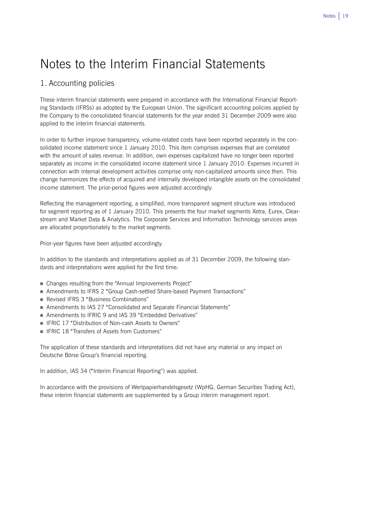# Notes to the Interim Financial Statements

## 1. Accounting policies

These interim financial statements were prepared in accordance with the International Financial Reporting Standards (IFRSs) as adopted by the European Union. The significant accounting policies applied by the Company to the consolidated financial statements for the year ended 31 December 2009 were also applied to the interim financial statements.

In order to further improve transparency, volume-related costs have been reported separately in the consolidated income statement since 1 January 2010. This item comprises expenses that are correlated with the amount of sales revenue. In addition, own expenses capitalized have no longer been reported separately as income in the consolidated income statement since 1 January 2010. Expenses incurred in connection with internal development activities comprise only non-capitalized amounts since then. This change harmonizes the effects of acquired and internally developed intangible assets on the consolidated income statement. The prior-period figures were adjusted accordingly.

Reflecting the management reporting, a simplified, more transparent segment structure was introduced for segment reporting as of 1 January 2010. This presents the four market segments Xetra, Eurex, Clearstream and Market Data & Analytics. The Corporate Services and Information Technology services areas are allocated proportionately to the market segments.

Prior-year figures have been adjusted accordingly.

In addition to the standards and interpretations applied as of 31 December 2009, the following standards and interpretations were applied for the first time:

- Changes resulting from the "Annual Improvements Project"
- Amendments to IFRS 2 "Group Cash-settled Share-based Payment Transactions"
- Revised IFRS 3 "Business Combinations"
- Amendments to IAS 27 "Consolidated and Separate Financial Statements"
- Amendments to IFRIC 9 and IAS 39 "Embedded Derivatives"
- IFRIC 17 "Distribution of Non-cash Assets to Owners"
- **IFRIC 18 "Transfers of Assets from Customers"**

The application of these standards and interpretations did not have any material or any impact on Deutsche Börse Group's financial reporting.

In addition, IAS 34 ("Interim Financial Reporting") was applied.

In accordance with the provisions of Wertpapierhandelsgesetz (WpHG, German Securities Trading Act), these interim financial statements are supplemented by a Group interim management report.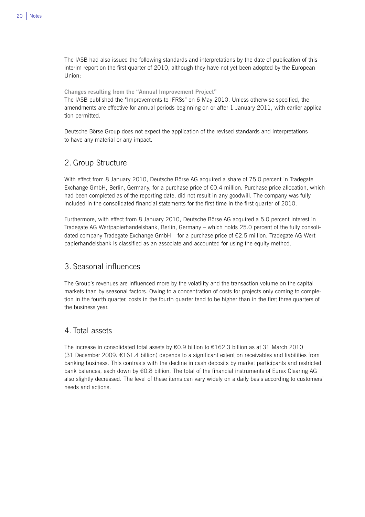The IASB had also issued the following standards and interpretations by the date of publication of this interim report on the first quarter of 2010, although they have not yet been adopted by the European Union:

**Changes resulting from the "Annual Improvement Project"** 

The IASB published the "Improvements to IFRSs" on 6 May 2010. Unless otherwise specified, the amendments are effective for annual periods beginning on or after 1 January 2011, with earlier application permitted.

Deutsche Börse Group does not expect the application of the revised standards and interpretations to have any material or any impact.

## 2. Group Structure

With effect from 8 January 2010, Deutsche Börse AG acquired a share of 75.0 percent in Tradegate Exchange GmbH, Berlin, Germany, for a purchase price of €0.4 million. Purchase price allocation, which had been completed as of the reporting date, did not result in any goodwill. The company was fully included in the consolidated financial statements for the first time in the first quarter of 2010.

Furthermore, with effect from 8 January 2010, Deutsche Börse AG acquired a 5.0 percent interest in Tradegate AG Wertpapierhandelsbank, Berlin, Germany – which holds 25.0 percent of the fully consolidated company Tradegate Exchange GmbH – for a purchase price of €2.5 million. Tradegate AG Wertpapierhandelsbank is classified as an associate and accounted for using the equity method.

## 3. Seasonal influences

The Group's revenues are influenced more by the volatility and the transaction volume on the capital markets than by seasonal factors. Owing to a concentration of costs for projects only coming to completion in the fourth quarter, costs in the fourth quarter tend to be higher than in the first three quarters of the business year.

## 4. Total assets

The increase in consolidated total assets by €0.9 billion to €162.3 billion as at 31 March 2010 (31 December 2009: €161.4 billion) depends to a significant extent on receivables and liabilities from banking business. This contrasts with the decline in cash deposits by market participants and restricted bank balances, each down by €0.8 billion. The total of the financial instruments of Eurex Clearing AG also slightly decreased. The level of these items can vary widely on a daily basis according to customers' needs and actions.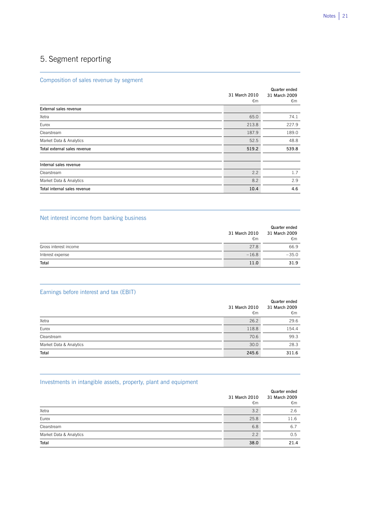### Composition of sales revenue by segment

|                              | 31 March 2010<br>€m | Quarter ended<br>31 March 2009<br>€m |
|------------------------------|---------------------|--------------------------------------|
| External sales revenue       |                     |                                      |
| Xetra                        | 65.0                | 74.1                                 |
| Eurex                        | 213.8               | 227.9                                |
| Clearstream                  | 187.9               | 189.0                                |
| Market Data & Analytics      | 52.5                | 48.8                                 |
| Total external sales revenue | 519.2               | 539.8                                |
|                              |                     |                                      |
| Internal sales revenue       |                     |                                      |
| Clearstream                  | 2.2                 | 1.7                                  |
| Market Data & Analytics      | 8.2                 | 2.9                                  |
| Total internal sales revenue | 10.4                | 4.6                                  |

 $\overline{a}$ 

 $\overline{a}$ 

 $\overline{a}$ 

 $\overline{a}$ 

### Net interest income from banking business

|                       | 31 March 2010<br>€m | Quarter ended<br>31 March 2009<br>€m |
|-----------------------|---------------------|--------------------------------------|
| Gross interest income | 27.8                | 66.9                                 |
| Interest expense      | $-16.8$             | $-35.0$                              |
| Total                 | 11.0                | 31.9                                 |

### Earnings before interest and tax (EBIT)

|                         | 31 March 2010<br>€m | Quarter ended<br>31 March 2009<br>€m |
|-------------------------|---------------------|--------------------------------------|
| Xetra                   | 26.2                | 29.6                                 |
| Eurex                   | 118.8               | 154.4                                |
| Clearstream             | 70.6                | 99.3                                 |
| Market Data & Analytics | 30.0                | 28.3                                 |
| Total                   | 245.6               | 311.6                                |

## Investments in intangible assets, property, plant and equipment

|                         | 31 March 2010<br>€m | Quarter ended<br>31 March 2009<br>€m |
|-------------------------|---------------------|--------------------------------------|
| Xetra                   | 3.2                 | 2.6                                  |
| Eurex                   | 25.8                | 11.6                                 |
| Clearstream             | 6.8                 | 6.7                                  |
| Market Data & Analytics | 2.2                 | 0.5                                  |
| Total                   | 38.0                | 21.4                                 |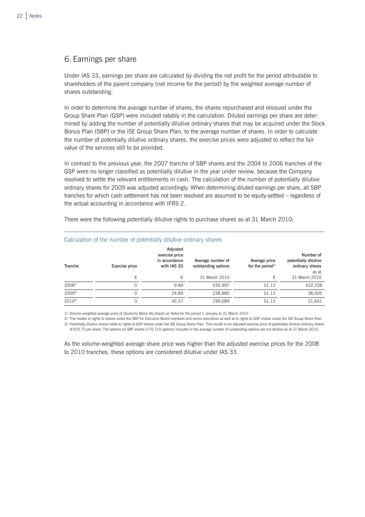## 6. Earnings per share

L

Under IAS 33, earnings per share are calculated by dividing the net profit for the period attributable to shareholders of the parent company (net income for the period) by the weighted average number of shares outstanding.

In order to determine the average number of shares, the shares repurchased and reissued under the Group Share Plan (GSP) were included ratably in the calculation. Diluted earnings per share are determined by adding the number of potentially dilutive ordinary shares that may be acquired under the Stock Bonus Plan (SBP) or the ISE Group Share Plan, to the average number of shares. In order to calculate the number of potentially dilutive ordinary shares, the exercise prices were adjusted to reflect the fair value of the services still to be provided.

In contrast to the previous year, the 2007 tranche of SBP shares and the 2004 to 2006 tranches of the GSP were no longer classified as potentially dilutive in the year under review, because the Company resolved to settle the relevant entitlements in cash. The calculation of the number of potentially dilutive ordinary shares for 2009 was adjusted accordingly. When determining diluted earnings per share, all SBP tranches for which cash settlement has not been resolved are assumed to be equity-settled – regardless of the actual accounting in accordance with IFRS 2.

There were the following potentially dilutive rights to purchase shares as at 31 March 2010:

| Tranche    | Exercise price | Adjusted<br>exercise price<br>in accordance<br>with IAS 33 | Average number of<br>outstanding options | Average price<br>for the period <sup>1)</sup> | Number of<br>potentially dilutive<br>ordinary shares<br>as at |
|------------|----------------|------------------------------------------------------------|------------------------------------------|-----------------------------------------------|---------------------------------------------------------------|
|            | €              | €                                                          | 31 March 2010                            | €                                             | 31 March 2010                                                 |
| $2008^{2}$ |                | 9.89                                                       | 535.997                                  | 51.13                                         | 432,338                                                       |
| $2009^{3}$ |                | 24.89                                                      | 238.880                                  | 51.13                                         | 36,505                                                        |
| $2010^{2}$ |                | 45.57                                                      | 199.089                                  | 51.13                                         | 21,651                                                        |

### Calculation of the number of potentially dilutive ordinary shares

1) Volume-weighted average price of Deutsche Börse AG shares on Xetra for the period 1 January to 31 March 2010

2) This relates to rights to shares under the SBP for Executive Board members and senior executives as well as to rights to GSP shares under the ISE Group Share Plan. 3) Potentially dilutive shares relate to rights to GSP shares under the ISE Group Share Plan. This results in an adjusted exercise price of potentially dilutive ordinary shares of €23.75 per share. The options on SBP shares (170,710 options) included in the average number of outstanding options are not dilutive as at 31 March 2010.

As the volume-weighted average share price was higher than the adjusted exercise prices for the 2008 to 2010 tranches, these options are considered dilutive under IAS 33.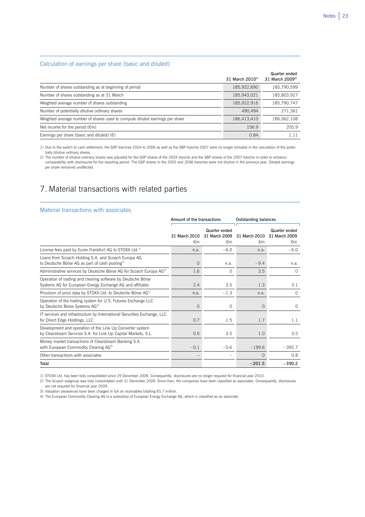### Calculation of earnings per share (basic and diluted)

|                                                                              | 31 March $2010^{11}$ | Quarter ended<br>31 March 2009 <sup>2)</sup> |
|------------------------------------------------------------------------------|----------------------|----------------------------------------------|
| Number of shares outstanding as at beginning of period                       | 185,922,690          | 185,790,599                                  |
| Number of shares outstanding as at 31 March                                  | 185,943,021          | 185,803,927                                  |
| Weighted average number of shares outstanding                                | 185,922,916          | 185,790,747                                  |
| Number of potentially dilutive ordinary shares                               | 490,494              | 271,361                                      |
| Weighted average number of shares used to compute diluted earnings per share | 186,413,410          | 186,062,108                                  |
| Net income for the period $(\epsilon m)$                                     | 156.9                | 205.9                                        |
| Earnings per share (basic and diluted) $(\epsilon)$                          | 0.84                 | 1.11                                         |

 $\overline{a}$ 

1) Due to the switch to cash settlement, the GSP tranches 2004 to 2006 as well as the SBP tranche 2007 were no longer included in the calculation of the potentially dilutive ordinary shares.

2) The number of dilutive ordinary shares was adjusted for the GSP shares of the 2004 tranche and the SBP shares of the 2007 tranche in order to enhance comparability with disclosures for the reporting period. The GSP shares in the 2005 and 2006 tranches were not dilutive in the previous year. Diluted earnings per share remained unaffected.

 $\overline{a}$ 

## 7. Material transactions with related parties

#### Material transactions with associates

|                                                                                                                             | Amount of the transactions |                                      | <b>Outstanding balances</b>   |                                      |
|-----------------------------------------------------------------------------------------------------------------------------|----------------------------|--------------------------------------|-------------------------------|--------------------------------------|
|                                                                                                                             | 31 March 2010<br>€m        | Quarter ended<br>31 March 2009<br>€m | 31 March 2010<br>$\epsilon$ m | Quarter ended<br>31 March 2009<br>€m |
| License fees paid by Eurex Frankfurt AG to STOXX Ltd. <sup>1)</sup>                                                         | n.a.                       | $-6.0$                               | n.a.                          | $-6.0$                               |
| Loans from Scoach Holding S.A. and Scoach Europa AG<br>to Deutsche Börse AG as part of cash pooling <sup>2)</sup>           | $\Omega$                   | n.a.                                 | $-9.4$                        | n.a.                                 |
| Administrative services by Deutsche Börse AG for Scoach Europa AG <sup>2)</sup>                                             | 1.6                        | $\Omega$                             | 3.5                           | $\Omega$                             |
| Operation of trading and clearing software by Deutsche Börse<br>Systems AG for European Energy Exchange AG and affiliates   | 2.4                        | 3.5                                  | 1.3                           | 3.1                                  |
| Provision of price data by STOXX Ltd. to Deutsche Börse AG <sup>1)</sup>                                                    | n.a.                       | $-1.3$                               | n.a.                          | $\circ$                              |
| Operation of the trading system for U.S. Futures Exchange LLC<br>by Deutsche Börse Systems AG <sup>3)</sup>                 | $\Omega$                   | $\Omega$                             | $\mathbf{O}$                  | $\Omega$                             |
| IT services and infrastructure by International Securities Exchange, LLC<br>for Direct Edge Holdings, LLC                   | 0.7                        | 1.5                                  | 1.7                           | 1.1                                  |
| Development and operation of the Link Up Converter system<br>by Clearstream Services S.A. for Link Up Capital Markets, S.L. | 0.5                        | 3.5                                  | 1.0                           | 3.5                                  |
| Money market transactions of Clearstream Banking S.A.<br>with European Commodity Clearing AG <sup>4)</sup>                  | $-0.1$                     | $-0.6$                               | $-199.6$                      | $-392.7$                             |
| Other transactions with associates                                                                                          |                            |                                      | $\Omega$                      | 0.8                                  |
| Total                                                                                                                       |                            |                                      | $-201.5$                      | $-390.2$                             |

1) STOXX Ltd. has been fully consolidated since 29 December 2009. Consequently, disclosures are no longer required for financial year 2010.

2) The Scoach subgroup was fully consolidated until 31 December 2009. Since then, the companies have been classified as associates. Consequently, disclosures are not required for financial year 2009.

3) Valuation allowances have been charged in full on receivables totalling €5.7 million.

4) The European Commodity Clearing AG is a subsidiary of European Energy Exchange AG, which is classified as an associate.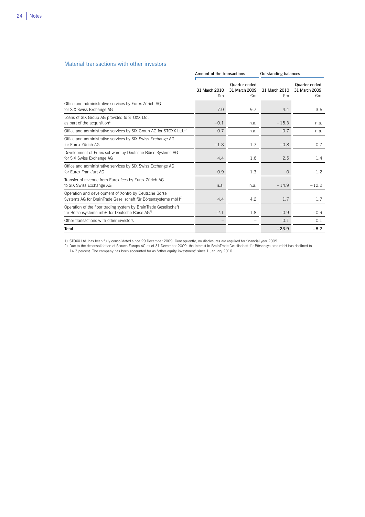### Material transactions with other investors

|                                                                                                                                     | Amount of the transactions    |                                      | <b>Outstanding balances</b> |                                      |  |
|-------------------------------------------------------------------------------------------------------------------------------------|-------------------------------|--------------------------------------|-----------------------------|--------------------------------------|--|
|                                                                                                                                     | 31 March 2010<br>$\epsilon$ m | Quarter ended<br>31 March 2009<br>€m | 31 March 2010<br>€m         | Quarter ended<br>31 March 2009<br>€m |  |
| Office and administrative services by Eurex Zürich AG<br>for SIX Swiss Exchange AG                                                  | 7.0                           | 9.7                                  | 4.4                         | 3.6                                  |  |
| Loans of SIX Group AG provided to STOXX Ltd.<br>as part of the acquisition <sup>1)</sup>                                            | $-0.1$                        | n.a.                                 | $-15.3$                     | n.a.                                 |  |
| Office and administrative services by SIX Group AG for STOXX Ltd. <sup>1)</sup>                                                     | $-0.7$                        | n.a.                                 | $-0.7$                      | n.a.                                 |  |
| Office and administrative services by SIX Swiss Exchange AG<br>for Furex Zürich AG                                                  | $-1.8$                        | $-1.7$                               | $-0.8$                      | $-0.7$                               |  |
| Development of Eurex software by Deutsche Börse Systems AG<br>for SIX Swiss Exchange AG                                             | 4.4                           | 1.6                                  | 2.5                         | 1.4                                  |  |
| Office and administrative services by SIX Swiss Exchange AG<br>for Furex Frankfurt AG                                               | $-0.9$                        | $-1.3$                               | $\mathbf 0$                 | $-1.2$                               |  |
| Transfer of revenue from Eurex fees by Eurex Zürich AG<br>to SIX Swiss Exchange AG                                                  | n.a.                          | n.a.                                 | $-14.9$                     | $-12.2$                              |  |
| Operation and development of Xontro by Deutsche Börse<br>Systems AG for BrainTrade Gesellschaft für Börsensysteme mbH <sup>2)</sup> | 4.4                           | 4.2                                  | 1.7                         | 1.7                                  |  |
| Operation of the floor trading system by BrainTrade Gesellschaft<br>für Börsensysteme mbH for Deutsche Börse AG <sup>2)</sup>       | $-2.1$                        | $-1.8$                               | $-0.9$                      | $-0.9$                               |  |
| Other transactions with other investors                                                                                             |                               |                                      | 0.1                         | 0.1                                  |  |
| Total                                                                                                                               |                               |                                      | $-23.9$                     | $-8.2$                               |  |

 $\overline{a}$ 

1) STOXX Ltd. has been fully consolidated since 29 December 2009. Consequently, no disclosures are required for financial year 2009.

2) Due to the deconsolidation of Scoach Europa AG as of 31 December 2009, the interest in BrainTrade Gesellschaft für Börsensysteme mbH has declined to<br>14.3 percent. The company has been accounted for as "other equity inve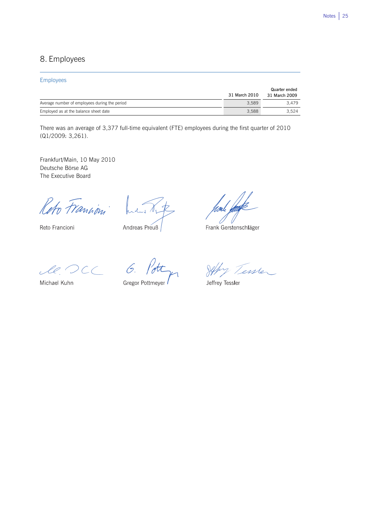## 8. Employees

### Employees

|                                               | 31 March 2010 | Quarter ended<br>31 March 2009 |
|-----------------------------------------------|---------------|--------------------------------|
| Average number of employees during the period | 3.589         | 3.479                          |
| Employed as at the balance sheet date         | 3.588         | 3.524                          |

 $\overline{a}$ 

There was an average of 3,377 full-time equivalent (FTE) employees during the first quarter of 2010 (Q1/2009: 3,261).

Frankfurt/Main, 10 May 2010 Deutsche Börse AG The Executive Board

Reto Francini

Reto Francioni

 $\mathcal{L}$ Andreas Preuß

Frank Gerstenschläger

 $le$  DCC 6.

Michael Kuhn

Gregor Pottmeyer

Jeffy Tessler

Jeffrey Tessler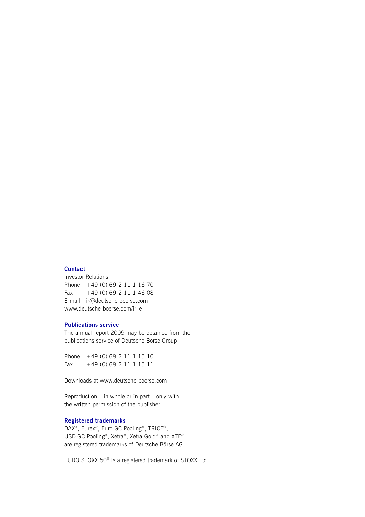### **Contact**

Investor Relations Phone +49-(0) 69-2 11-1 16 70 Fax  $+49-(0)$  69-2 11-1 46 08 E-mail ir@deutsche-boerse.com www.deutsche-boerse.com/ir\_e

### **Publications service**

The annual report 2009 may be obtained from the publications service of Deutsche Börse Group:

Phone +49-(0) 69-2 11-1 15 10 Fax +49-(0) 69-2 11-1 15 11

Downloads at www.deutsche-boerse.com

Reproduction – in whole or in part – only with the written permission of the publisher

### **Registered trademarks**

DAX®, Eurex®, Euro GC Pooling®, TRICE®, USD GC Pooling®, Xetra®, Xetra-Gold® and XTF® are registered trademarks of Deutsche Börse AG.

EURO STOXX 50® is a registered trademark of STOXX Ltd.